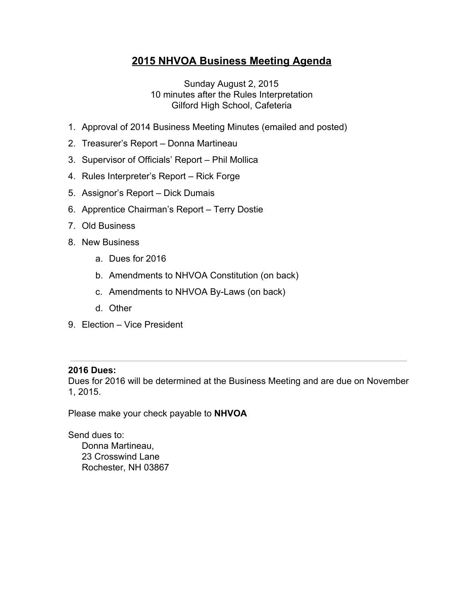# **2015 NHVOA Business Meeting Agenda**

Sunday August 2, 2015 10 minutes after the Rules Interpretation Gilford High School, Cafeteria

- 1. Approval of 2014 Business Meeting Minutes (emailed and posted)
- 2. Treasurer's Report Donna Martineau
- 3. Supervisor of Officials' Report Phil Mollica
- 4. Rules Interpreter's Report Rick Forge
- 5. Assignor's Report Dick Dumais
- 6. Apprentice Chairman's Report Terry Dostie
- 7. Old Business
- 8. New Business
	- a. Dues for 2016
	- b. Amendments to NHVOA Constitution (on back)
	- c. Amendments to NHVOA By-Laws (on back)
	- d. Other
- 9. Election Vice President

#### **2016 Dues:**

Dues for 2016 will be determined at the Business Meeting and are due on November 1, 2015.

Please make your check payable to **NHVOA**

Send dues to: Donna Martineau, 23 Crosswind Lane Rochester, NH 03867